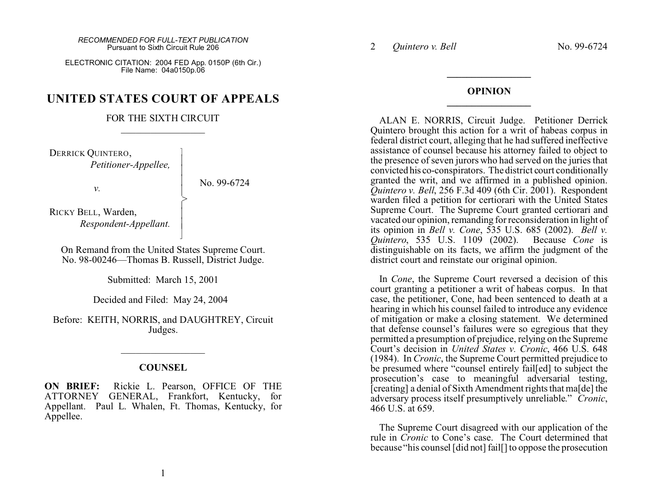ELECTRONIC CITATION: 2004 FED App. 0150P (6th Cir.) File Name: 04a0150p.06

## **UNITED STATES COURT OF APPEALS**

## FOR THE SIXTH CIRCUIT  $\mathcal{L}_\text{max}$  , where  $\mathcal{L}_\text{max}$

 $\overline{\phantom{a}}$ - - - |<br>|<br>| > , - - N

DERRICK QUINTERO, *Petitioner-Appellee,*

No. 99-6724

RICKY BELL, Warden, *Respondent-Appellant.*

On Remand from the United States Supreme Court. No. 98-00246—Thomas B. Russell, District Judge.

Submitted: March 15, 2001

Decided and Filed: May 24, 2004

Before: KEITH, NORRIS, and DAUGHTREY, Circuit Judges.

## **COUNSEL**

 $\mathcal{L}_\text{max}$  , where  $\mathcal{L}_\text{max}$ 

**ON BRIEF:** Rickie L. Pearson, OFFICE OF THE ATTORNEY GENERAL, Frankfort, Kentucky, for Appellant. Paul L. Whalen, Ft. Thomas, Kentucky, for Appellee.

2 *Quintero v. Bell* No. 99-6724

## **OPINION \_\_\_\_\_\_\_\_\_\_\_\_\_\_\_\_\_**

**\_\_\_\_\_\_\_\_\_\_\_\_\_\_\_\_\_**

ALAN E. NORRIS, Circuit Judge. Petitioner Derrick Quintero brought this action for a writ of habeas corpus in federal district court, alleging that he had suffered ineffective assistance of counsel because his attorney failed to object to the presence of seven jurors who had served on the juries that convicted his co-conspirators. The district court conditionally granted the writ, and we affirmed in a published opinion. *Quintero v. Bell*, 256 F.3d 409 (6th Cir. 2001). Respondent warden filed a petition for certiorari with the United States Supreme Court. The Supreme Court granted certiorari and vacated our opinion, remanding for reconsideration in light of its opinion in *Bell v. Cone*, 535 U.S. 685 (2002). *Bell v. Quintero*, 535 U.S. 1109 (2002). Because *Cone* is distinguishable on its facts, we affirm the judgment of the district court and reinstate our original opinion.

In *Cone*, the Supreme Court reversed a decision of this court granting a petitioner a writ of habeas corpus. In that case, the petitioner, Cone, had been sentenced to death at a hearing in which his counsel failed to introduce any evidence of mitigation or make a closing statement. We determined that defense counsel's failures were so egregious that they permitted a presumption of prejudice, relying on the Supreme Court's decision in *United States v. Cronic*, 466 U.S. 648 (1984). In *Cronic*, the Supreme Court permitted prejudice to be presumed where "counsel entirely fail[ed] to subject the prosecution's case to meaningful adversarial testing, [creating] a denial of Sixth Amendment rights that ma[de] the adversary process itself presumptively unreliable." *Cronic*, 466 U.S. at 659.

The Supreme Court disagreed with our application of the rule in *Cronic* to Cone's case. The Court determined that because "his counsel [did not] fail[] to oppose the prosecution

*v.*